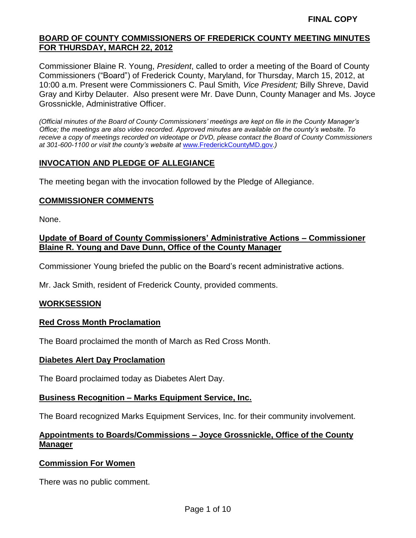Commissioner Blaine R. Young, *President*, called to order a meeting of the Board of County Commissioners ("Board") of Frederick County, Maryland, for Thursday, March 15, 2012, at 10:00 a.m. Present were Commissioners C. Paul Smith*, Vice President;* Billy Shreve, David Gray and Kirby Delauter. Also present were Mr. Dave Dunn, County Manager and Ms. Joyce Grossnickle, Administrative Officer.

*(Official minutes of the Board of County Commissioners' meetings are kept on file in the County Manager's Office; the meetings are also video recorded. Approved minutes are available on the county's website. To receive a copy of meetings recorded on videotape or DVD, please contact the Board of County Commissioners at 301-600-1100 or visit the county's website at* [www.FrederickCountyMD.gov](http://www.frederickcountymd.gov/)*.)*

#### **INVOCATION AND PLEDGE OF ALLEGIANCE**

The meeting began with the invocation followed by the Pledge of Allegiance.

#### **COMMISSIONER COMMENTS**

None.

#### **Update of Board of County Commissioners' Administrative Actions – Commissioner Blaine R. Young and Dave Dunn, Office of the County Manager**

Commissioner Young briefed the public on the Board's recent administrative actions.

Mr. Jack Smith, resident of Frederick County, provided comments.

#### **WORKSESSION**

#### **Red Cross Month Proclamation**

The Board proclaimed the month of March as Red Cross Month.

#### **Diabetes Alert Day Proclamation**

The Board proclaimed today as Diabetes Alert Day.

#### **Business Recognition – Marks Equipment Service, Inc.**

The Board recognized Marks Equipment Services, Inc. for their community involvement.

# **Appointments to Boards/Commissions – Joyce Grossnickle, Office of the County Manager**

#### **Commission For Women**

There was no public comment.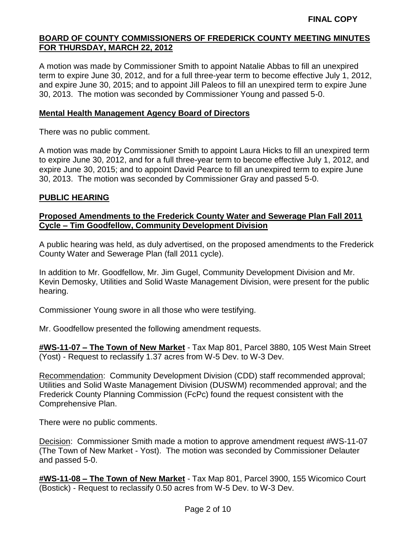A motion was made by Commissioner Smith to appoint Natalie Abbas to fill an unexpired term to expire June 30, 2012, and for a full three-year term to become effective July 1, 2012, and expire June 30, 2015; and to appoint Jill Paleos to fill an unexpired term to expire June 30, 2013. The motion was seconded by Commissioner Young and passed 5-0.

#### **Mental Health Management Agency Board of Directors**

There was no public comment.

A motion was made by Commissioner Smith to appoint Laura Hicks to fill an unexpired term to expire June 30, 2012, and for a full three-year term to become effective July 1, 2012, and expire June 30, 2015; and to appoint David Pearce to fill an unexpired term to expire June 30, 2013. The motion was seconded by Commissioner Gray and passed 5-0.

#### **PUBLIC HEARING**

#### **Proposed Amendments to the Frederick County Water and Sewerage Plan Fall 2011 Cycle – Tim Goodfellow, Community Development Division**

A public hearing was held, as duly advertised, on the proposed amendments to the Frederick County Water and Sewerage Plan (fall 2011 cycle).

In addition to Mr. Goodfellow, Mr. Jim Gugel, Community Development Division and Mr. Kevin Demosky, Utilities and Solid Waste Management Division, were present for the public hearing.

Commissioner Young swore in all those who were testifying.

Mr. Goodfellow presented the following amendment requests.

**#WS-11-07 – The Town of New Market** - Tax Map 801, Parcel 3880, 105 West Main Street (Yost) - Request to reclassify 1.37 acres from W-5 Dev. to W-3 Dev.

Recommendation: Community Development Division (CDD) staff recommended approval; Utilities and Solid Waste Management Division (DUSWM) recommended approval; and the Frederick County Planning Commission (FcPc) found the request consistent with the Comprehensive Plan.

There were no public comments.

Decision: Commissioner Smith made a motion to approve amendment request #WS-11-07 (The Town of New Market - Yost). The motion was seconded by Commissioner Delauter and passed 5-0.

**#WS-11-08 – The Town of New Market** - Tax Map 801, Parcel 3900, 155 Wicomico Court (Bostick) - Request to reclassify 0.50 acres from W-5 Dev. to W-3 Dev.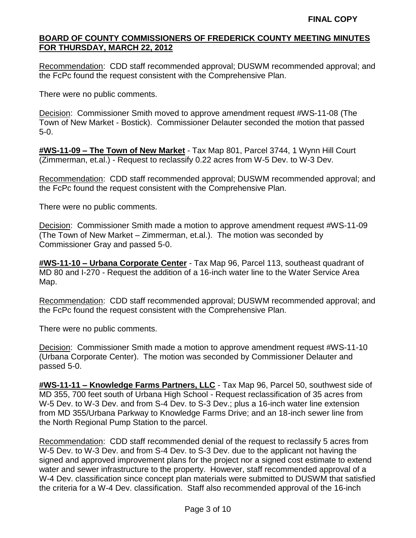Recommendation: CDD staff recommended approval; DUSWM recommended approval; and the FcPc found the request consistent with the Comprehensive Plan.

There were no public comments.

Decision: Commissioner Smith moved to approve amendment request #WS-11-08 (The Town of New Market - Bostick). Commissioner Delauter seconded the motion that passed 5-0.

**#WS-11-09 – The Town of New Market** - Tax Map 801, Parcel 3744, 1 Wynn Hill Court (Zimmerman, et.al.) - Request to reclassify 0.22 acres from W-5 Dev. to W-3 Dev.

Recommendation: CDD staff recommended approval; DUSWM recommended approval; and the FcPc found the request consistent with the Comprehensive Plan.

There were no public comments.

Decision: Commissioner Smith made a motion to approve amendment request #WS-11-09 (The Town of New Market – Zimmerman, et.al.). The motion was seconded by Commissioner Gray and passed 5-0.

**#WS-11-10 – Urbana Corporate Center** - Tax Map 96, Parcel 113, southeast quadrant of MD 80 and I-270 - Request the addition of a 16-inch water line to the Water Service Area Map.

Recommendation: CDD staff recommended approval; DUSWM recommended approval; and the FcPc found the request consistent with the Comprehensive Plan.

There were no public comments.

Decision: Commissioner Smith made a motion to approve amendment request #WS-11-10 (Urbana Corporate Center). The motion was seconded by Commissioner Delauter and passed 5-0.

**#WS-11-11 – Knowledge Farms Partners, LLC** - Tax Map 96, Parcel 50, southwest side of MD 355, 700 feet south of Urbana High School - Request reclassification of 35 acres from W-5 Dev. to W-3 Dev. and from S-4 Dev. to S-3 Dev.; plus a 16-inch water line extension from MD 355/Urbana Parkway to Knowledge Farms Drive; and an 18-inch sewer line from the North Regional Pump Station to the parcel.

Recommendation: CDD staff recommended denial of the request to reclassify 5 acres from W-5 Dev. to W-3 Dev. and from S-4 Dev. to S-3 Dev. due to the applicant not having the signed and approved improvement plans for the project nor a signed cost estimate to extend water and sewer infrastructure to the property. However, staff recommended approval of a W-4 Dev. classification since concept plan materials were submitted to DUSWM that satisfied the criteria for a W-4 Dev. classification. Staff also recommended approval of the 16-inch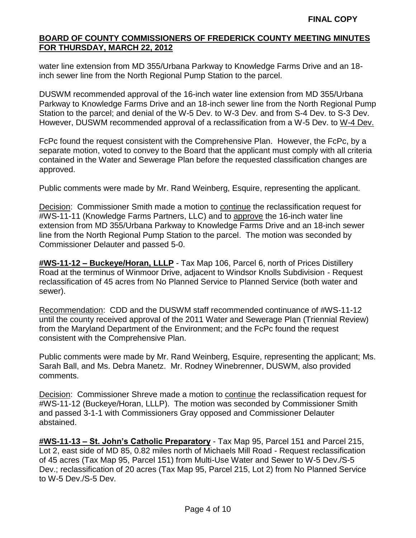water line extension from MD 355/Urbana Parkway to Knowledge Farms Drive and an 18 inch sewer line from the North Regional Pump Station to the parcel.

DUSWM recommended approval of the 16-inch water line extension from MD 355/Urbana Parkway to Knowledge Farms Drive and an 18-inch sewer line from the North Regional Pump Station to the parcel; and denial of the W-5 Dev. to W-3 Dev. and from S-4 Dev. to S-3 Dev. However, DUSWM recommended approval of a reclassification from a W-5 Dev. to W-4 Dev.

FcPc found the request consistent with the Comprehensive Plan. However, the FcPc, by a separate motion, voted to convey to the Board that the applicant must comply with all criteria contained in the Water and Sewerage Plan before the requested classification changes are approved.

Public comments were made by Mr. Rand Weinberg, Esquire, representing the applicant.

Decision: Commissioner Smith made a motion to continue the reclassification request for #WS-11-11 (Knowledge Farms Partners, LLC) and to approve the 16-inch water line extension from MD 355/Urbana Parkway to Knowledge Farms Drive and an 18-inch sewer line from the North Regional Pump Station to the parcel. The motion was seconded by Commissioner Delauter and passed 5-0.

**#WS-11-12 – Buckeye/Horan, LLLP** - Tax Map 106, Parcel 6, north of Prices Distillery Road at the terminus of Winmoor Drive, adjacent to Windsor Knolls Subdivision - Request reclassification of 45 acres from No Planned Service to Planned Service (both water and sewer).

Recommendation: CDD and the DUSWM staff recommended continuance of #WS-11-12 until the county received approval of the 2011 Water and Sewerage Plan (Triennial Review) from the Maryland Department of the Environment; and the FcPc found the request consistent with the Comprehensive Plan.

Public comments were made by Mr. Rand Weinberg, Esquire, representing the applicant; Ms. Sarah Ball, and Ms. Debra Manetz. Mr. Rodney Winebrenner, DUSWM, also provided comments.

Decision: Commissioner Shreve made a motion to continue the reclassification request for #WS-11-12 (Buckeye/Horan, LLLP). The motion was seconded by Commissioner Smith and passed 3-1-1 with Commissioners Gray opposed and Commissioner Delauter abstained.

**#WS-11-13 – St. John's Catholic Preparatory** - Tax Map 95, Parcel 151 and Parcel 215, Lot 2, east side of MD 85, 0.82 miles north of Michaels Mill Road - Request reclassification of 45 acres (Tax Map 95, Parcel 151) from Multi-Use Water and Sewer to W-5 Dev./S-5 Dev.; reclassification of 20 acres (Tax Map 95, Parcel 215, Lot 2) from No Planned Service to W-5 Dev./S-5 Dev.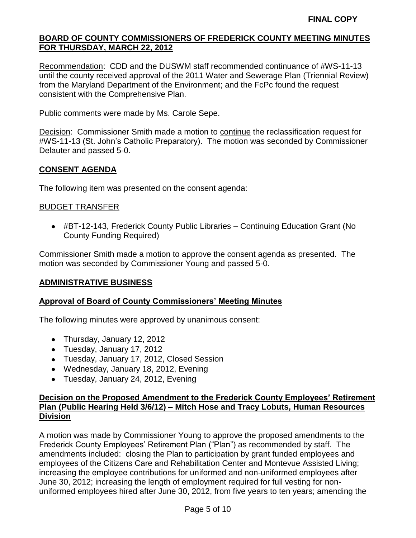Recommendation: CDD and the DUSWM staff recommended continuance of #WS-11-13 until the county received approval of the 2011 Water and Sewerage Plan (Triennial Review) from the Maryland Department of the Environment; and the FcPc found the request consistent with the Comprehensive Plan.

Public comments were made by Ms. Carole Sepe.

Decision: Commissioner Smith made a motion to continue the reclassification request for #WS-11-13 (St. John's Catholic Preparatory). The motion was seconded by Commissioner Delauter and passed 5-0.

# **CONSENT AGENDA**

The following item was presented on the consent agenda:

#### BUDGET TRANSFER

#BT-12-143, Frederick County Public Libraries – Continuing Education Grant (No County Funding Required)

Commissioner Smith made a motion to approve the consent agenda as presented. The motion was seconded by Commissioner Young and passed 5-0.

# **ADMINISTRATIVE BUSINESS**

#### **Approval of Board of County Commissioners' Meeting Minutes**

The following minutes were approved by unanimous consent:

- Thursday, January 12, 2012
- Tuesday, January 17, 2012
- Tuesday, January 17, 2012, Closed Session
- Wednesday, January 18, 2012, Evening
- Tuesday, January 24, 2012, Evening

# **Decision on the Proposed Amendment to the Frederick County Employees' Retirement Plan (Public Hearing Held 3/6/12) – Mitch Hose and Tracy Lobuts, Human Resources Division**

A motion was made by Commissioner Young to approve the proposed amendments to the Frederick County Employees' Retirement Plan ("Plan") as recommended by staff. The amendments included: closing the Plan to participation by grant funded employees and employees of the Citizens Care and Rehabilitation Center and Montevue Assisted Living; increasing the employee contributions for uniformed and non-uniformed employees after June 30, 2012; increasing the length of employment required for full vesting for nonuniformed employees hired after June 30, 2012, from five years to ten years; amending the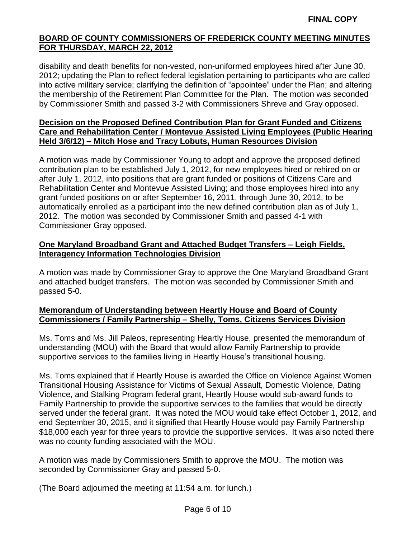disability and death benefits for non-vested, non-uniformed employees hired after June 30, 2012; updating the Plan to reflect federal legislation pertaining to participants who are called into active military service; clarifying the definition of "appointee" under the Plan; and altering the membership of the Retirement Plan Committee for the Plan. The motion was seconded by Commissioner Smith and passed 3-2 with Commissioners Shreve and Gray opposed.

# **Decision on the Proposed Defined Contribution Plan for Grant Funded and Citizens Care and Rehabilitation Center / Montevue Assisted Living Employees (Public Hearing Held 3/6/12) – Mitch Hose and Tracy Lobuts, Human Resources Division**

A motion was made by Commissioner Young to adopt and approve the proposed defined contribution plan to be established July 1, 2012, for new employees hired or rehired on or after July 1, 2012, into positions that are grant funded or positions of Citizens Care and Rehabilitation Center and Montevue Assisted Living; and those employees hired into any grant funded positions on or after September 16, 2011, through June 30, 2012, to be automatically enrolled as a participant into the new defined contribution plan as of July 1, 2012. The motion was seconded by Commissioner Smith and passed 4-1 with Commissioner Gray opposed.

# **One Maryland Broadband Grant and Attached Budget Transfers – Leigh Fields, Interagency Information Technologies Division**

A motion was made by Commissioner Gray to approve the One Maryland Broadband Grant and attached budget transfers. The motion was seconded by Commissioner Smith and passed 5-0.

# **Memorandum of Understanding between Heartly House and Board of County Commissioners / Family Partnership – Shelly, Toms, Citizens Services Division**

Ms. Toms and Ms. Jill Paleos, representing Heartly House, presented the memorandum of understanding (MOU) with the Board that would allow Family Partnership to provide supportive services to the families living in Heartly House's transitional housing.

Ms. Toms explained that if Heartly House is awarded the Office on Violence Against Women Transitional Housing Assistance for Victims of Sexual Assault, Domestic Violence, Dating Violence, and Stalking Program federal grant, Heartly House would sub-award funds to Family Partnership to provide the supportive services to the families that would be directly served under the federal grant. It was noted the MOU would take effect October 1, 2012, and end September 30, 2015, and it signified that Heartly House would pay Family Partnership \$18,000 each year for three years to provide the supportive services. It was also noted there was no county funding associated with the MOU.

A motion was made by Commissioners Smith to approve the MOU. The motion was seconded by Commissioner Gray and passed 5-0.

(The Board adjourned the meeting at 11:54 a.m. for lunch.)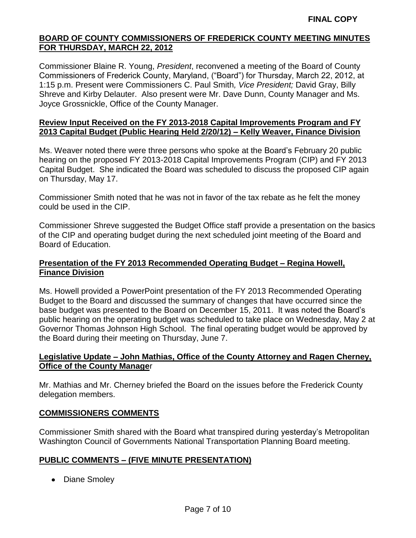Commissioner Blaine R. Young, *President*, reconvened a meeting of the Board of County Commissioners of Frederick County, Maryland, ("Board") for Thursday, March 22, 2012, at 1:15 p.m. Present were Commissioners C. Paul Smith*, Vice President;* David Gray, Billy Shreve and Kirby Delauter. Also present were Mr. Dave Dunn, County Manager and Ms. Joyce Grossnickle, Office of the County Manager.

## **Review Input Received on the FY 2013-2018 Capital Improvements Program and FY 2013 Capital Budget (Public Hearing Held 2/20/12) – Kelly Weaver, Finance Division**

Ms. Weaver noted there were three persons who spoke at the Board's February 20 public hearing on the proposed FY 2013-2018 Capital Improvements Program (CIP) and FY 2013 Capital Budget. She indicated the Board was scheduled to discuss the proposed CIP again on Thursday, May 17.

Commissioner Smith noted that he was not in favor of the tax rebate as he felt the money could be used in the CIP.

Commissioner Shreve suggested the Budget Office staff provide a presentation on the basics of the CIP and operating budget during the next scheduled joint meeting of the Board and Board of Education.

# **Presentation of the FY 2013 Recommended Operating Budget – Regina Howell, Finance Division**

Ms. Howell provided a PowerPoint presentation of the FY 2013 Recommended Operating Budget to the Board and discussed the summary of changes that have occurred since the base budget was presented to the Board on December 15, 2011. It was noted the Board's public hearing on the operating budget was scheduled to take place on Wednesday, May 2 at Governor Thomas Johnson High School. The final operating budget would be approved by the Board during their meeting on Thursday, June 7.

# **Legislative Update – John Mathias, Office of the County Attorney and Ragen Cherney, Office of the County Manage**r

Mr. Mathias and Mr. Cherney briefed the Board on the issues before the Frederick County delegation members.

# **COMMISSIONERS COMMENTS**

Commissioner Smith shared with the Board what transpired during yesterday's Metropolitan Washington Council of Governments National Transportation Planning Board meeting.

# **PUBLIC COMMENTS – (FIVE MINUTE PRESENTATION)**

• Diane Smoley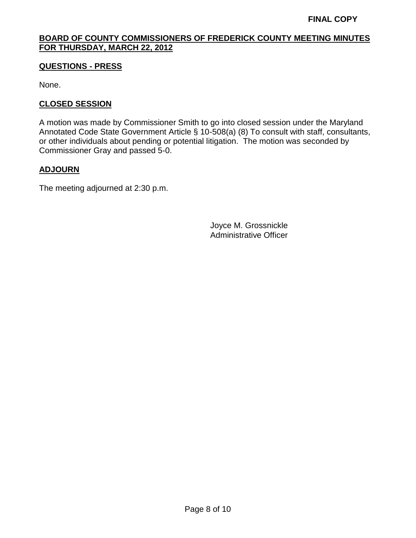# **QUESTIONS - PRESS**

None.

# **CLOSED SESSION**

A motion was made by Commissioner Smith to go into closed session under the Maryland Annotated Code State Government Article § 10-508(a) (8) To consult with staff, consultants, or other individuals about pending or potential litigation. The motion was seconded by Commissioner Gray and passed 5-0.

# **ADJOURN**

The meeting adjourned at 2:30 p.m.

Joyce M. Grossnickle Administrative Officer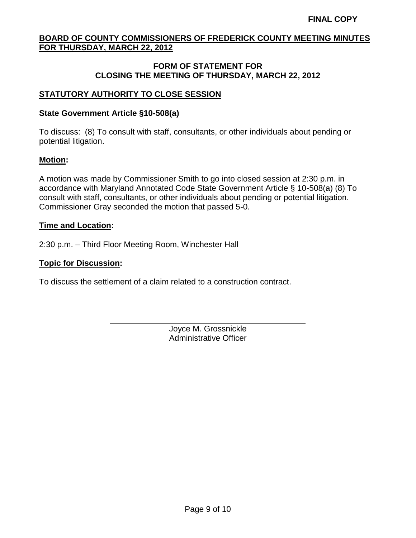# **FORM OF STATEMENT FOR CLOSING THE MEETING OF THURSDAY, MARCH 22, 2012**

# **STATUTORY AUTHORITY TO CLOSE SESSION**

### **State Government Article §10-508(a)**

To discuss: (8) To consult with staff, consultants, or other individuals about pending or potential litigation.

# **Motion:**

A motion was made by Commissioner Smith to go into closed session at 2:30 p.m. in accordance with Maryland Annotated Code State Government Article § 10-508(a) (8) To consult with staff, consultants, or other individuals about pending or potential litigation. Commissioner Gray seconded the motion that passed 5-0.

#### **Time and Location:**

2:30 p.m. – Third Floor Meeting Room, Winchester Hall

#### **Topic for Discussion:**

To discuss the settlement of a claim related to a construction contract.

Joyce M. Grossnickle Administrative Officer